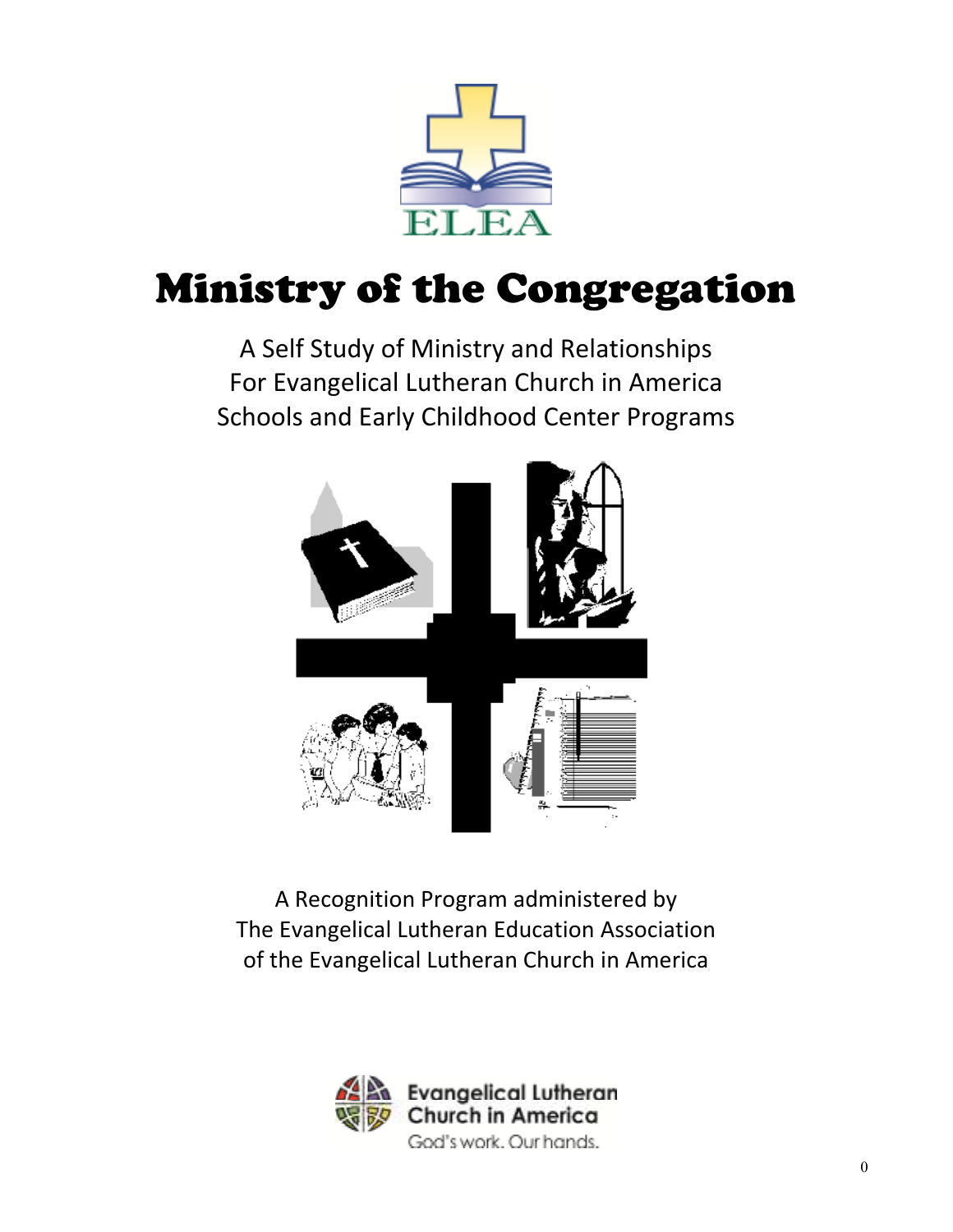

# Ministry of the Congregation

A Self Study of Ministry and Relationships For Evangelical Lutheran Church in America Schools and Early Childhood Center Programs



A Recognition Program administered by The Evangelical Lutheran Education Association of the Evangelical Lutheran Church in America

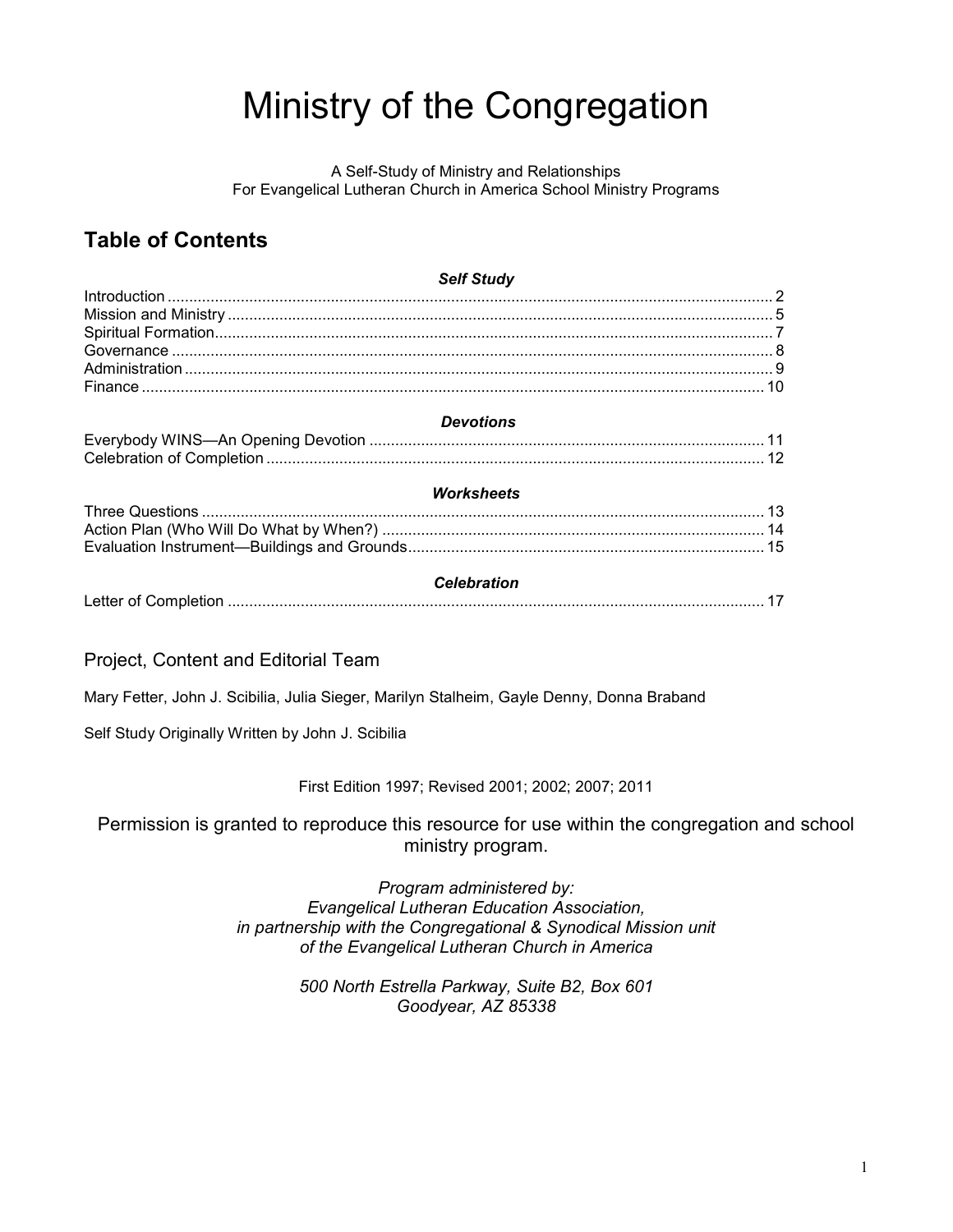# Ministry of the Congregation

A Self-Study of Ministry and Relationships For Evangelical Lutheran Church in America School Ministry Programs

### **Table of Contents**

| <b>Self Study</b>  |  |
|--------------------|--|
|                    |  |
|                    |  |
|                    |  |
|                    |  |
|                    |  |
|                    |  |
| <b>Devotions</b>   |  |
|                    |  |
|                    |  |
| <b>Worksheets</b>  |  |
|                    |  |
|                    |  |
|                    |  |
| <b>Celebration</b> |  |
|                    |  |
|                    |  |

Project, Content and Editorial Team

Mary Fetter, John J. Scibilia, Julia Sieger, Marilyn Stalheim, Gayle Denny, Donna Braband

Self Study Originally Written by John J. Scibilia

First Edition 1997; Revised 2001; 2002; 2007; 2011

Permission is granted to reproduce this resource for use within the congregation and school ministry program.

> *Program administered by: Evangelical Lutheran Education Association, in partnership with the Congregational & Synodical Mission unit of the Evangelical Lutheran Church in America*

> > *500 North Estrella Parkway, Suite B2, Box 601 Goodyear, AZ 85338*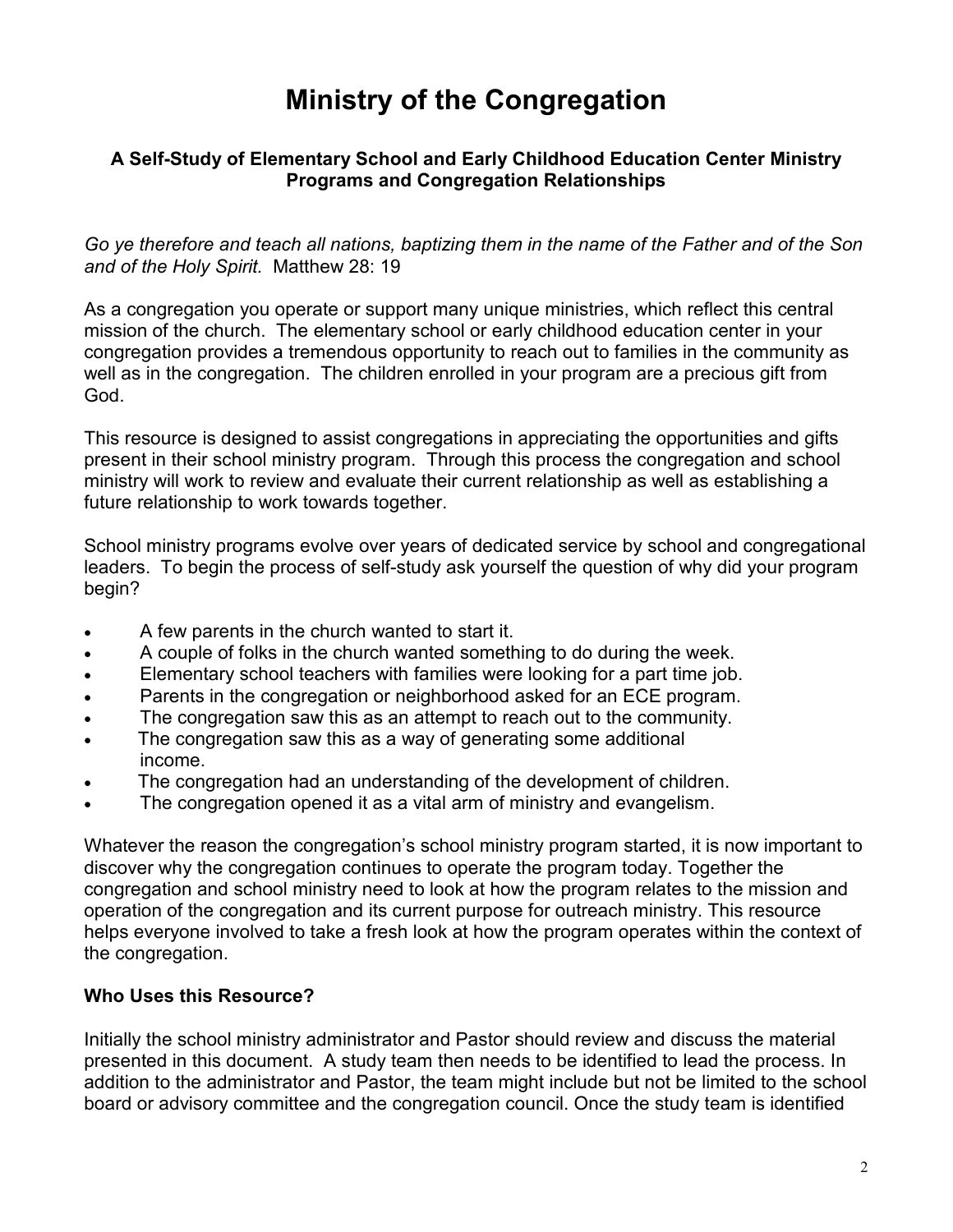# **Ministry of the Congregation**

#### **A Self-Study of Elementary School and Early Childhood Education Center Ministry Programs and Congregation Relationships**

*Go ye therefore and teach all nations, baptizing them in the name of the Father and of the Son and of the Holy Spirit.* Matthew 28: 19

As a congregation you operate or support many unique ministries, which reflect this central mission of the church. The elementary school or early childhood education center in your congregation provides a tremendous opportunity to reach out to families in the community as well as in the congregation. The children enrolled in your program are a precious gift from God.

This resource is designed to assist congregations in appreciating the opportunities and gifts present in their school ministry program. Through this process the congregation and school ministry will work to review and evaluate their current relationship as well as establishing a future relationship to work towards together.

School ministry programs evolve over years of dedicated service by school and congregational leaders. To begin the process of self-study ask yourself the question of why did your program begin?

- A few parents in the church wanted to start it.
- A couple of folks in the church wanted something to do during the week.
- Elementary school teachers with families were looking for a part time job.
- Parents in the congregation or neighborhood asked for an ECE program.
- The congregation saw this as an attempt to reach out to the community.
- The congregation saw this as a way of generating some additional income.
- The congregation had an understanding of the development of children.
- The congregation opened it as a vital arm of ministry and evangelism.

Whatever the reason the congregation's school ministry program started, it is now important to discover why the congregation continues to operate the program today. Together the congregation and school ministry need to look at how the program relates to the mission and operation of the congregation and its current purpose for outreach ministry. This resource helps everyone involved to take a fresh look at how the program operates within the context of the congregation.

#### **Who Uses this Resource?**

Initially the school ministry administrator and Pastor should review and discuss the material presented in this document. A study team then needs to be identified to lead the process. In addition to the administrator and Pastor, the team might include but not be limited to the school board or advisory committee and the congregation council. Once the study team is identified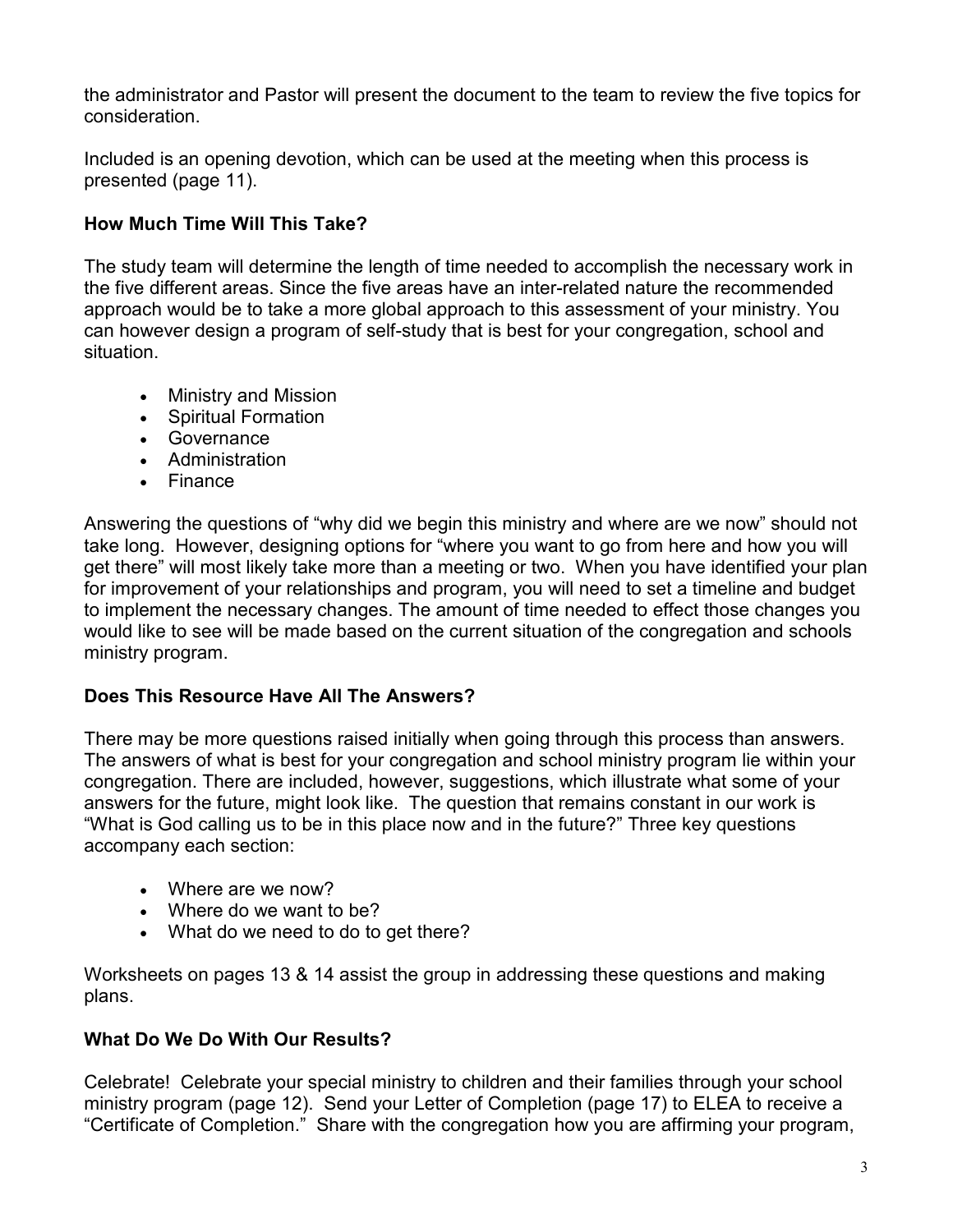the administrator and Pastor will present the document to the team to review the five topics for consideration.

Included is an opening devotion, which can be used at the meeting when this process is presented (page 11).

### **How Much Time Will This Take?**

The study team will determine the length of time needed to accomplish the necessary work in the five different areas. Since the five areas have an inter-related nature the recommended approach would be to take a more global approach to this assessment of your ministry. You can however design a program of self-study that is best for your congregation, school and situation.

- Ministry and Mission
- Spiritual Formation
- Governance
- Administration
- Finance

Answering the questions of "why did we begin this ministry and where are we now" should not take long. However, designing options for "where you want to go from here and how you will get there" will most likely take more than a meeting or two. When you have identified your plan for improvement of your relationships and program, you will need to set a timeline and budget to implement the necessary changes. The amount of time needed to effect those changes you would like to see will be made based on the current situation of the congregation and schools ministry program.

### **Does This Resource Have All The Answers?**

There may be more questions raised initially when going through this process than answers. The answers of what is best for your congregation and school ministry program lie within your congregation. There are included, however, suggestions, which illustrate what some of your answers for the future, might look like. The question that remains constant in our work is "What is God calling us to be in this place now and in the future?" Three key questions accompany each section:

- Where are we now?
- Where do we want to be?
- What do we need to do to get there?

Worksheets on pages 13 & 14 assist the group in addressing these questions and making plans.

### **What Do We Do With Our Results?**

Celebrate! Celebrate your special ministry to children and their families through your school ministry program (page 12). Send your Letter of Completion (page 17) to ELEA to receive a "Certificate of Completion." Share with the congregation how you are affirming your program,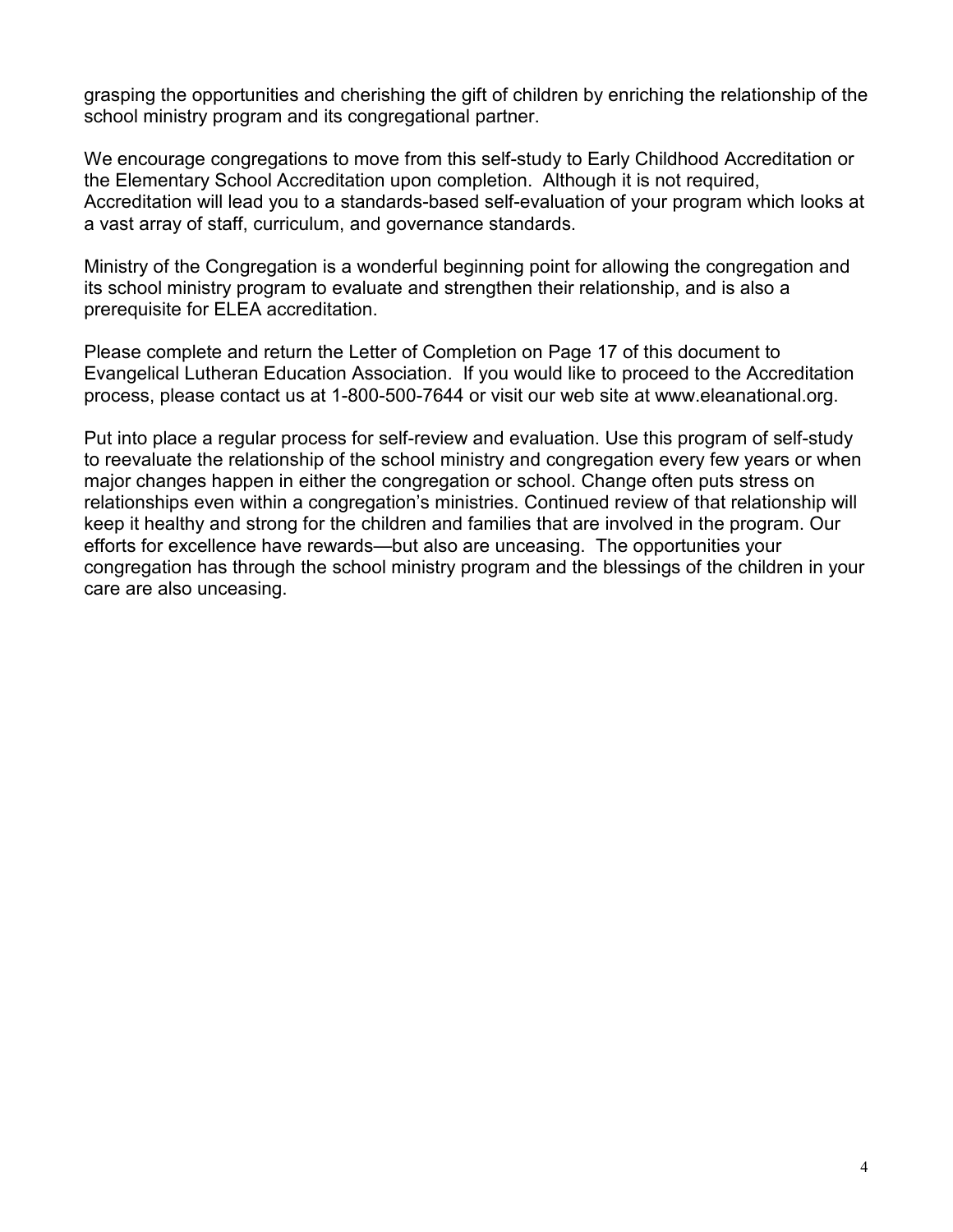grasping the opportunities and cherishing the gift of children by enriching the relationship of the school ministry program and its congregational partner.

We encourage congregations to move from this self-study to Early Childhood Accreditation or the Elementary School Accreditation upon completion. Although it is not required, Accreditation will lead you to a standards-based self-evaluation of your program which looks at a vast array of staff, curriculum, and governance standards.

Ministry of the Congregation is a wonderful beginning point for allowing the congregation and its school ministry program to evaluate and strengthen their relationship, and is also a prerequisite for ELEA accreditation.

Please complete and return the Letter of Completion on Page 17 of this document to Evangelical Lutheran Education Association. If you would like to proceed to the Accreditation process, please contact us at 1-800-500-7644 or visit our web site at www.eleanational.org.

Put into place a regular process for self-review and evaluation. Use this program of self-study to reevaluate the relationship of the school ministry and congregation every few years or when major changes happen in either the congregation or school. Change often puts stress on relationships even within a congregation's ministries. Continued review of that relationship will keep it healthy and strong for the children and families that are involved in the program. Our efforts for excellence have rewards—but also are unceasing. The opportunities your congregation has through the school ministry program and the blessings of the children in your care are also unceasing.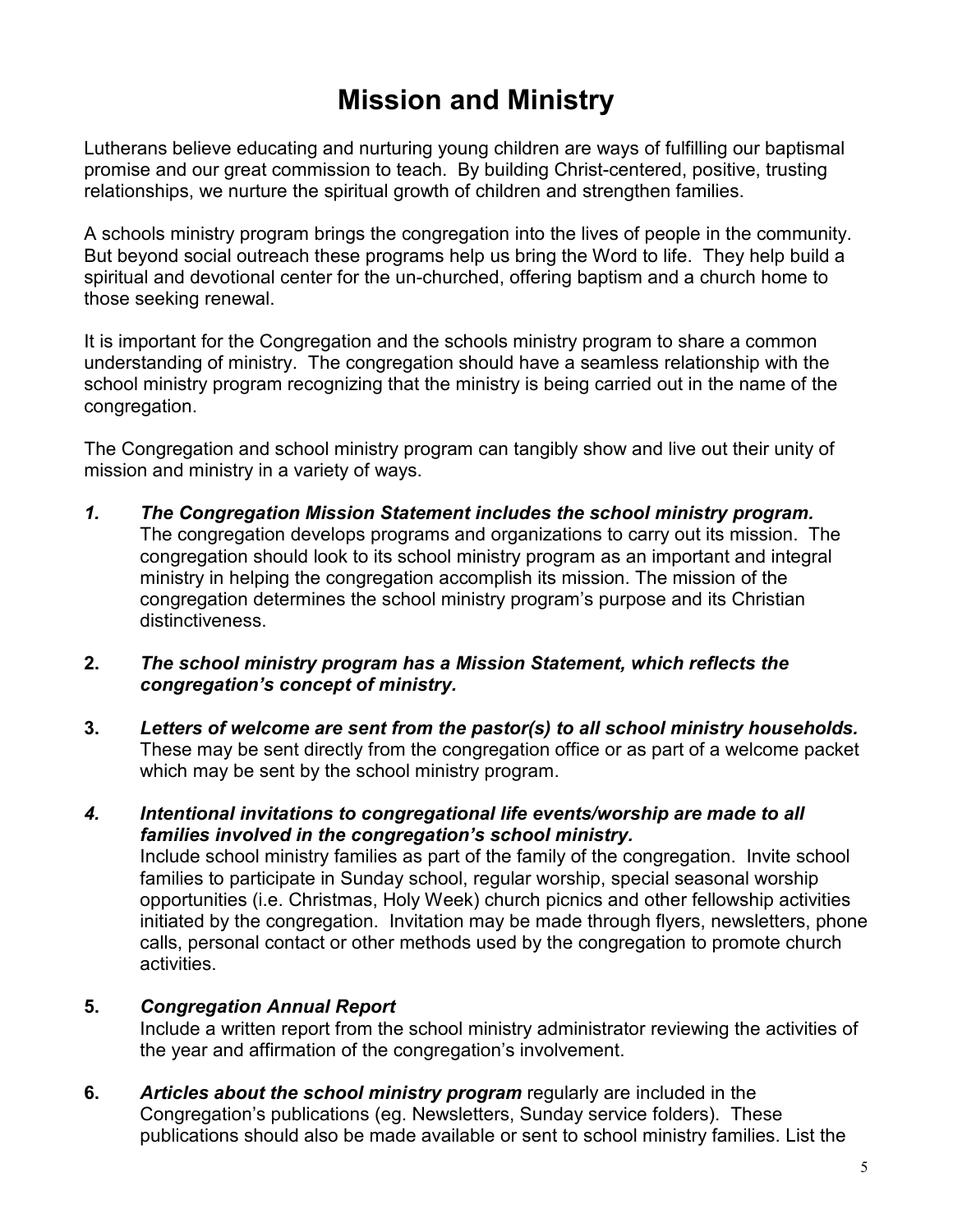# **Mission and Ministry**

Lutherans believe educating and nurturing young children are ways of fulfilling our baptismal promise and our great commission to teach. By building Christ-centered, positive, trusting relationships, we nurture the spiritual growth of children and strengthen families.

A schools ministry program brings the congregation into the lives of people in the community. But beyond social outreach these programs help us bring the Word to life. They help build a spiritual and devotional center for the un-churched, offering baptism and a church home to those seeking renewal.

It is important for the Congregation and the schools ministry program to share a common understanding of ministry. The congregation should have a seamless relationship with the school ministry program recognizing that the ministry is being carried out in the name of the congregation.

The Congregation and school ministry program can tangibly show and live out their unity of mission and ministry in a variety of ways.

- *1. The Congregation Mission Statement includes the school ministry program.* The congregation develops programs and organizations to carry out its mission. The congregation should look to its school ministry program as an important and integral ministry in helping the congregation accomplish its mission. The mission of the congregation determines the school ministry program's purpose and its Christian distinctiveness.
- **2.** *The school ministry program has a Mission Statement, which reflects the congregation's concept of ministry.*
- **3.** *Letters of welcome are sent from the pastor(s) to all school ministry households.* These may be sent directly from the congregation office or as part of a welcome packet which may be sent by the school ministry program.
- *4. Intentional invitations to congregational life events/worship are made to all families involved in the congregation's school ministry.*

Include school ministry families as part of the family of the congregation. Invite school families to participate in Sunday school, regular worship, special seasonal worship opportunities (i.e. Christmas, Holy Week) church picnics and other fellowship activities initiated by the congregation. Invitation may be made through flyers, newsletters, phone calls, personal contact or other methods used by the congregation to promote church activities.

#### **5.** *Congregation Annual Report*

Include a written report from the school ministry administrator reviewing the activities of the year and affirmation of the congregation's involvement.

**6.** *Articles about the school ministry program* regularly are included in the Congregation's publications (eg. Newsletters, Sunday service folders). These publications should also be made available or sent to school ministry families. List the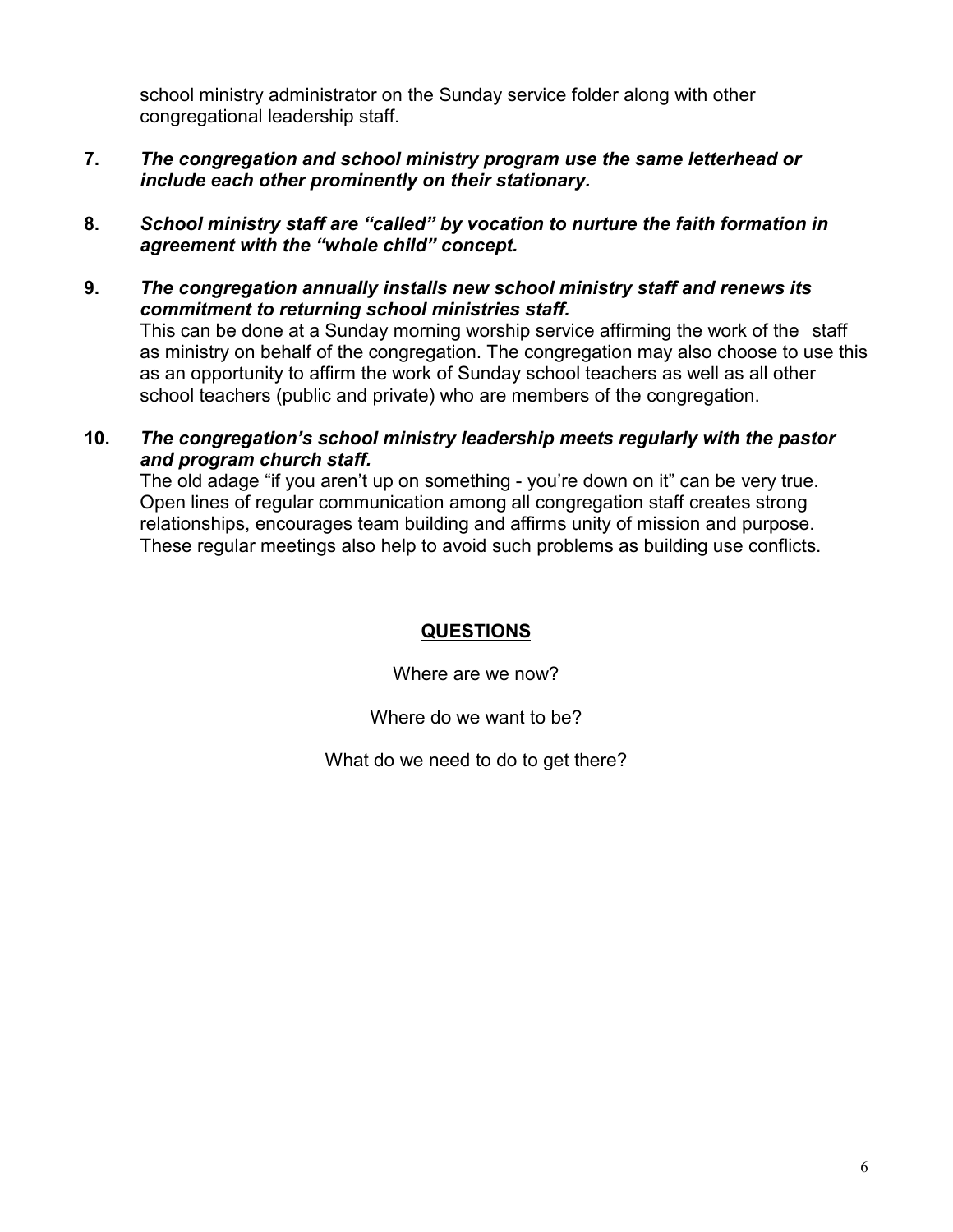school ministry administrator on the Sunday service folder along with other congregational leadership staff.

- **7.** *The congregation and school ministry program use the same letterhead or include each other prominently on their stationary.*
- **8.** *School ministry staff are "called" by vocation to nurture the faith formation in agreement with the "whole child" concept.*
- **9.** *The congregation annually installs new school ministry staff and renews its commitment to returning school ministries staff.*

This can be done at a Sunday morning worship service affirming the work of the staff as ministry on behalf of the congregation. The congregation may also choose to use this as an opportunity to affirm the work of Sunday school teachers as well as all other school teachers (public and private) who are members of the congregation.

**10.** *The congregation's school ministry leadership meets regularly with the pastor and program church staff.*

The old adage "if you aren't up on something - you're down on it" can be very true. Open lines of regular communication among all congregation staff creates strong relationships, encourages team building and affirms unity of mission and purpose. These regular meetings also help to avoid such problems as building use conflicts.

#### **QUESTIONS**

Where are we now?

Where do we want to be?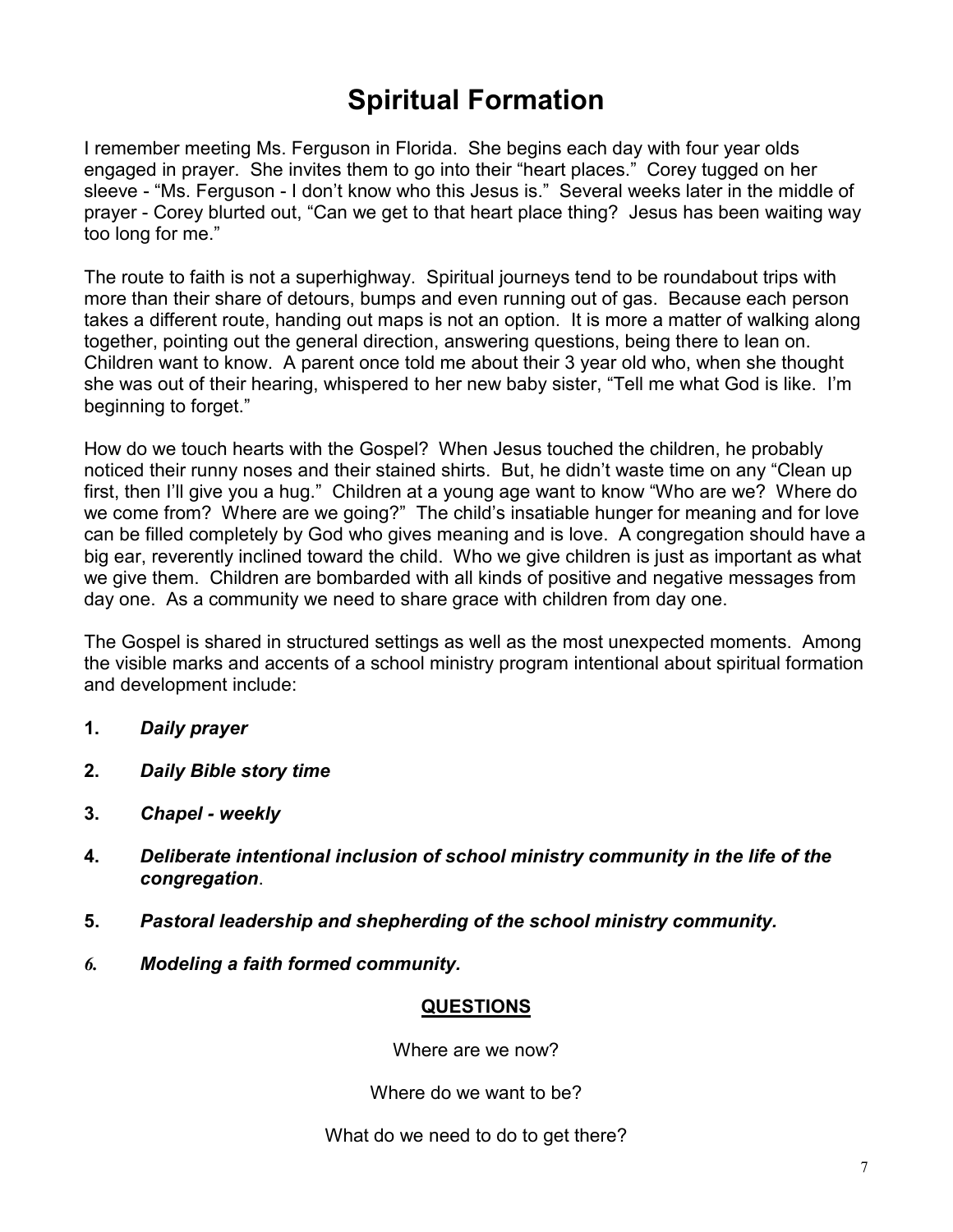# **Spiritual Formation**

I remember meeting Ms. Ferguson in Florida. She begins each day with four year olds engaged in prayer. She invites them to go into their "heart places." Corey tugged on her sleeve - "Ms. Ferguson - I don't know who this Jesus is." Several weeks later in the middle of prayer - Corey blurted out, "Can we get to that heart place thing? Jesus has been waiting way too long for me."

The route to faith is not a superhighway. Spiritual journeys tend to be roundabout trips with more than their share of detours, bumps and even running out of gas. Because each person takes a different route, handing out maps is not an option. It is more a matter of walking along together, pointing out the general direction, answering questions, being there to lean on. Children want to know. A parent once told me about their 3 year old who, when she thought she was out of their hearing, whispered to her new baby sister, "Tell me what God is like. I'm beginning to forget."

How do we touch hearts with the Gospel? When Jesus touched the children, he probably noticed their runny noses and their stained shirts. But, he didn't waste time on any "Clean up first, then I'll give you a hug." Children at a young age want to know "Who are we? Where do we come from? Where are we going?" The child's insatiable hunger for meaning and for love can be filled completely by God who gives meaning and is love. A congregation should have a big ear, reverently inclined toward the child. Who we give children is just as important as what we give them. Children are bombarded with all kinds of positive and negative messages from day one. As a community we need to share grace with children from day one.

The Gospel is shared in structured settings as well as the most unexpected moments. Among the visible marks and accents of a school ministry program intentional about spiritual formation and development include:

- **1.** *Daily prayer*
- **2.** *Daily Bible story time*
- **3.** *Chapel weekly*
- **4.** *Deliberate intentional inclusion of school ministry community in the life of the congregation*.
- **5.** *Pastoral leadership and shepherding of the school ministry community.*
- *6. Modeling a faith formed community.*

#### **QUESTIONS**

Where are we now?

Where do we want to be?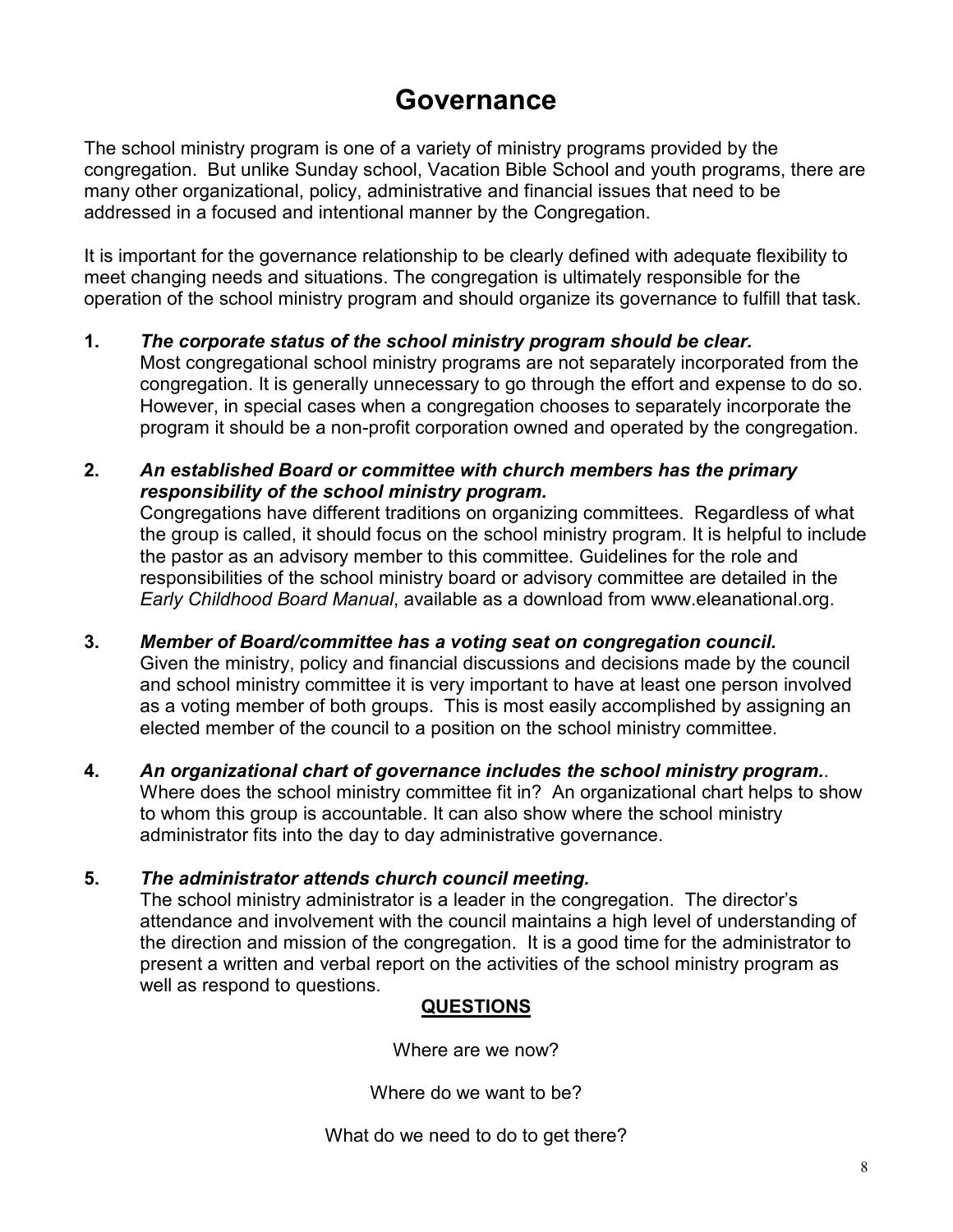### **Governance**

The school ministry program is one of a variety of ministry programs provided by the congregation. But unlike Sunday school, Vacation Bible School and youth programs, there are many other organizational, policy, administrative and financial issues that need to be addressed in a focused and intentional manner by the Congregation.

It is important for the governance relationship to be clearly defined with adequate flexibility to meet changing needs and situations. The congregation is ultimately responsible for the operation of the school ministry program and should organize its governance to fulfill that task.

- **1.** *The corporate status of the school ministry program should be clear.* Most congregational school ministry programs are not separately incorporated from the congregation. It is generally unnecessary to go through the effort and expense to do so. However, in special cases when a congregation chooses to separately incorporate the program it should be a non-profit corporation owned and operated by the congregation.
- **2.** *An established Board or committee with church members has the primary responsibility of the school ministry program.* Congregations have different traditions on organizing committees. Regardless of what

the group is called, it should focus on the school ministry program. It is helpful to include the pastor as an advisory member to this committee. Guidelines for the role and responsibilities of the school ministry board or advisory committee are detailed in the *Early Childhood Board Manual*, available as a download from www.eleanational.org.

**3.** *Member of Board/committee has a voting seat on congregation council.*

Given the ministry, policy and financial discussions and decisions made by the council and school ministry committee it is very important to have at least one person involved as a voting member of both groups. This is most easily accomplished by assigning an elected member of the council to a position on the school ministry committee.

**4.** *An organizational chart of governance includes the school ministry program.*. Where does the school ministry committee fit in? An organizational chart helps to show to whom this group is accountable. It can also show where the school ministry administrator fits into the day to day administrative governance.

#### **5.** *The administrator attends church council meeting.*

The school ministry administrator is a leader in the congregation. The director's attendance and involvement with the council maintains a high level of understanding of the direction and mission of the congregation. It is a good time for the administrator to present a written and verbal report on the activities of the school ministry program as well as respond to questions.

### **QUESTIONS**

Where are we now?

Where do we want to be?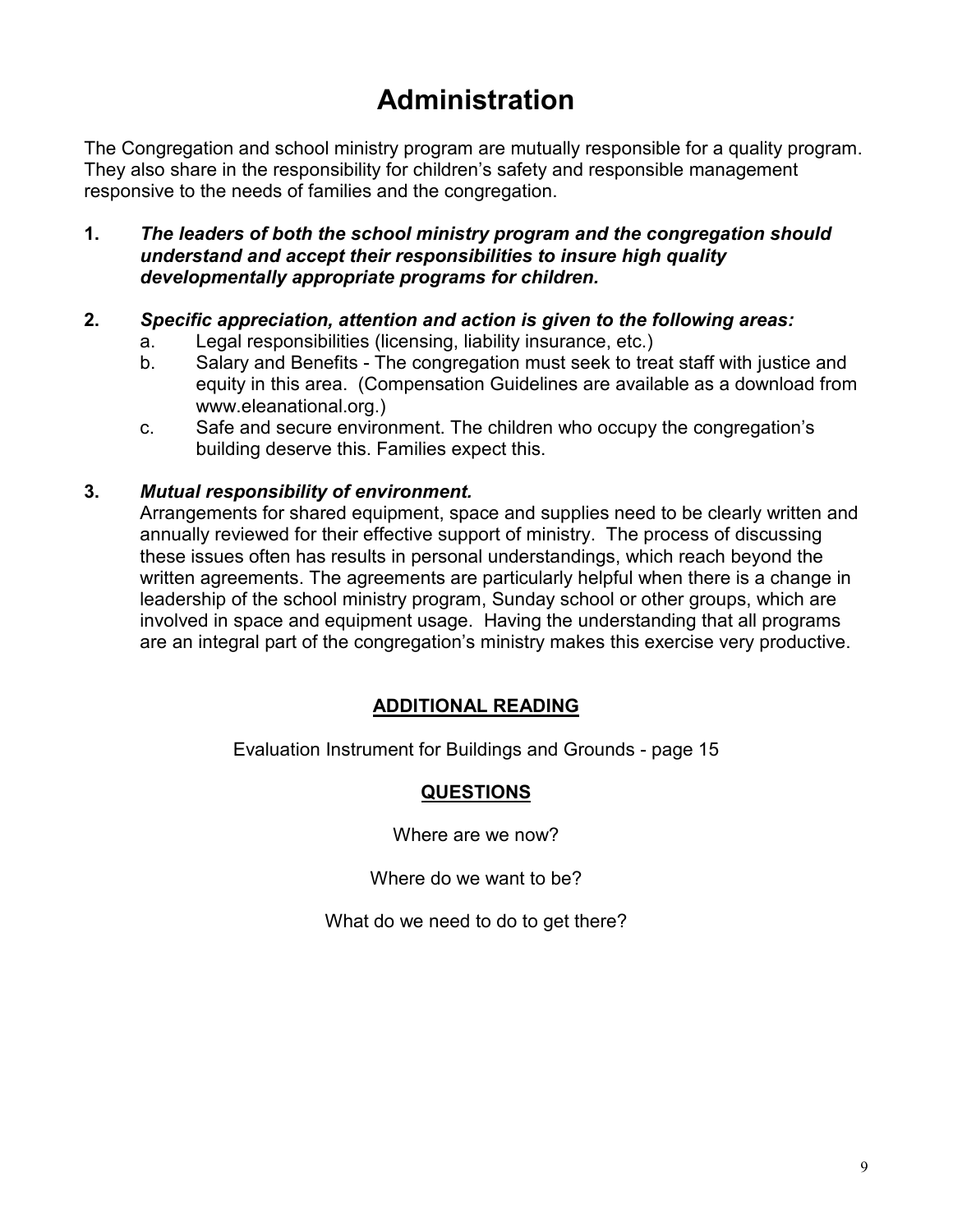# **Administration**

The Congregation and school ministry program are mutually responsible for a quality program. They also share in the responsibility for children's safety and responsible management responsive to the needs of families and the congregation.

**1.** *The leaders of both the school ministry program and the congregation should understand and accept their responsibilities to insure high quality developmentally appropriate programs for children.* 

#### **2.** *Specific appreciation, attention and action is given to the following areas:*

- a. Legal responsibilities (licensing, liability insurance, etc.)
- b. Salary and Benefits The congregation must seek to treat staff with justice and equity in this area. (Compensation Guidelines are available as a download from www.eleanational.org.)
- c. Safe and secure environment. The children who occupy the congregation's building deserve this. Families expect this.

#### **3.** *Mutual responsibility of environment.*

Arrangements for shared equipment, space and supplies need to be clearly written and annually reviewed for their effective support of ministry. The process of discussing these issues often has results in personal understandings, which reach beyond the written agreements. The agreements are particularly helpful when there is a change in leadership of the school ministry program, Sunday school or other groups, which are involved in space and equipment usage. Having the understanding that all programs are an integral part of the congregation's ministry makes this exercise very productive.

#### **ADDITIONAL READING**

Evaluation Instrument for Buildings and Grounds - page 15

#### **QUESTIONS**

Where are we now?

Where do we want to be?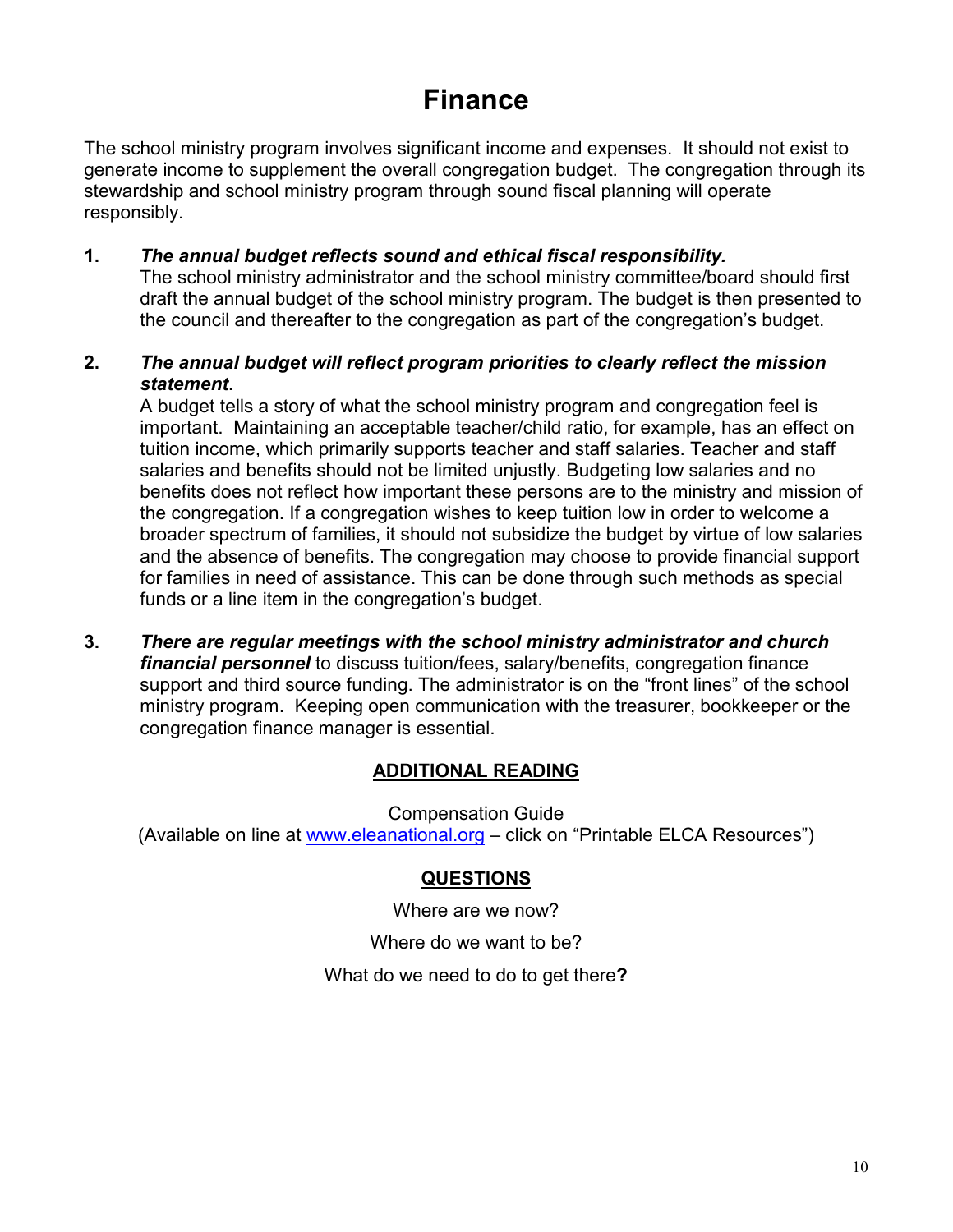### **Finance**

The school ministry program involves significant income and expenses. It should not exist to generate income to supplement the overall congregation budget. The congregation through its stewardship and school ministry program through sound fiscal planning will operate responsibly.

**1.** *The annual budget reflects sound and ethical fiscal responsibility.*

The school ministry administrator and the school ministry committee/board should first draft the annual budget of the school ministry program. The budget is then presented to the council and thereafter to the congregation as part of the congregation's budget.

**2.** *The annual budget will reflect program priorities to clearly reflect the mission statement*.

A budget tells a story of what the school ministry program and congregation feel is important. Maintaining an acceptable teacher/child ratio, for example, has an effect on tuition income, which primarily supports teacher and staff salaries. Teacher and staff salaries and benefits should not be limited unjustly. Budgeting low salaries and no benefits does not reflect how important these persons are to the ministry and mission of the congregation. If a congregation wishes to keep tuition low in order to welcome a broader spectrum of families, it should not subsidize the budget by virtue of low salaries and the absence of benefits. The congregation may choose to provide financial support for families in need of assistance. This can be done through such methods as special funds or a line item in the congregation's budget.

**3.** *There are regular meetings with the school ministry administrator and church financial personnel* to discuss tuition/fees, salary/benefits, congregation finance support and third source funding. The administrator is on the "front lines" of the school ministry program. Keeping open communication with the treasurer, bookkeeper or the congregation finance manager is essential.

#### **ADDITIONAL READING**

Compensation Guide (Available on line at www.eleanational.org - click on "Printable ELCA Resources")

### **QUESTIONS**

Where are we now?

Where do we want to be?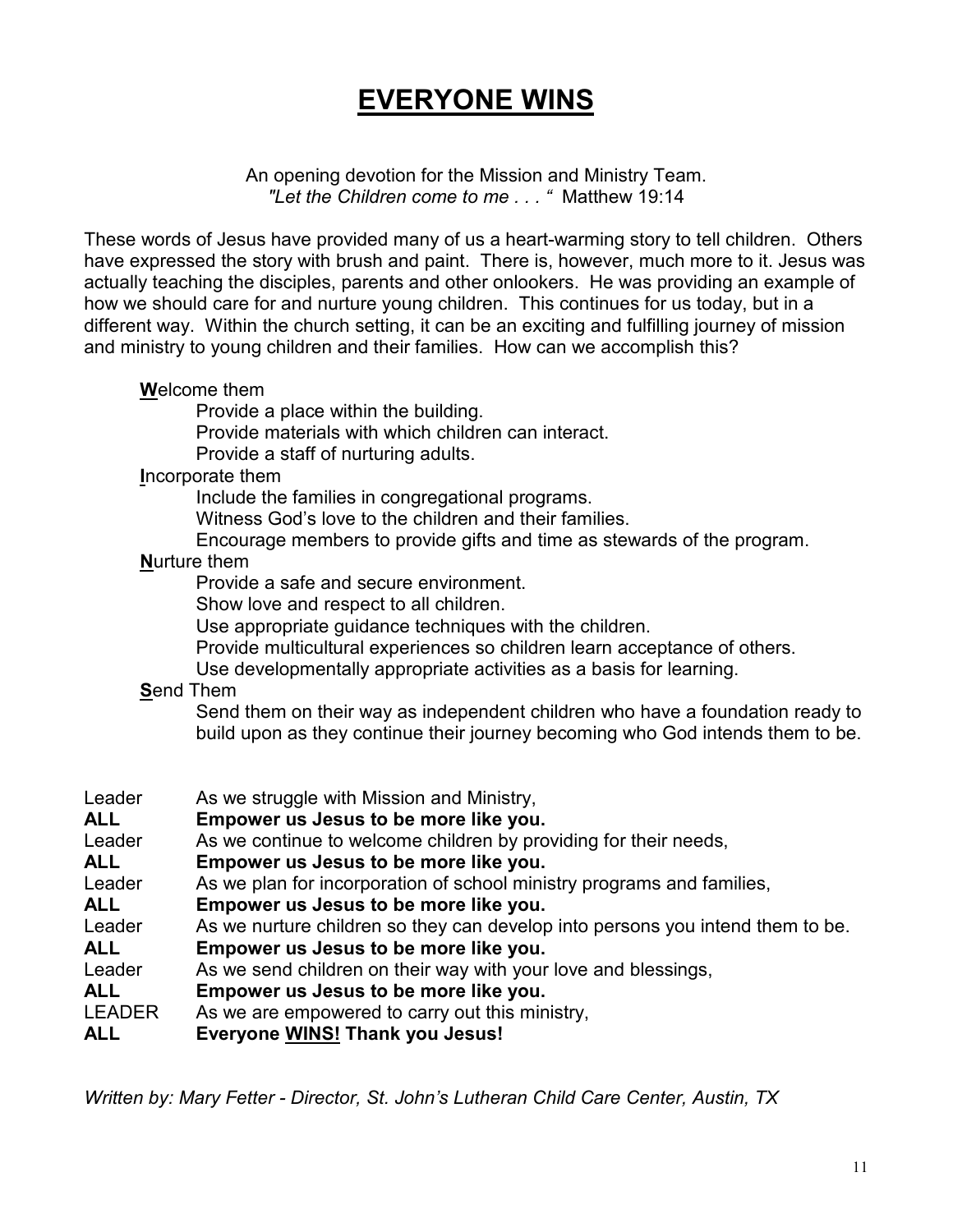# **EVERYONE WINS**

An opening devotion for the Mission and Ministry Team. *"Let the Children come to me . . . "* Matthew 19:14

These words of Jesus have provided many of us a heart-warming story to tell children. Others have expressed the story with brush and paint. There is, however, much more to it. Jesus was actually teaching the disciples, parents and other onlookers. He was providing an example of how we should care for and nurture young children. This continues for us today, but in a different way. Within the church setting, it can be an exciting and fulfilling journey of mission and ministry to young children and their families. How can we accomplish this?

#### **W**elcome them

Provide a place within the building.

Provide materials with which children can interact.

Provide a staff of nurturing adults.

#### **I**ncorporate them

Include the families in congregational programs.

Witness God's love to the children and their families.

Encourage members to provide gifts and time as stewards of the program.

#### **N**urture them

Provide a safe and secure environment.

Show love and respect to all children.

Use appropriate guidance techniques with the children.

Provide multicultural experiences so children learn acceptance of others.

Use developmentally appropriate activities as a basis for learning.

#### **S**end Them

Send them on their way as independent children who have a foundation ready to build upon as they continue their journey becoming who God intends them to be.

| Leader        | As we struggle with Mission and Ministry,                                      |
|---------------|--------------------------------------------------------------------------------|
| <b>ALL</b>    | Empower us Jesus to be more like you.                                          |
| Leader        | As we continue to welcome children by providing for their needs,               |
| <b>ALL</b>    | Empower us Jesus to be more like you.                                          |
| Leader        | As we plan for incorporation of school ministry programs and families,         |
| <b>ALL</b>    | Empower us Jesus to be more like you.                                          |
| Leader        | As we nurture children so they can develop into persons you intend them to be. |
| ALL.          | Empower us Jesus to be more like you.                                          |
| Leader        | As we send children on their way with your love and blessings,                 |
| <b>ALL</b>    | Empower us Jesus to be more like you.                                          |
| <b>LEADER</b> | As we are empowered to carry out this ministry,                                |
| ALL           | <b>Everyone WINS! Thank you Jesus!</b>                                         |

*Written by: Mary Fetter - Director, St. John's Lutheran Child Care Center, Austin, TX*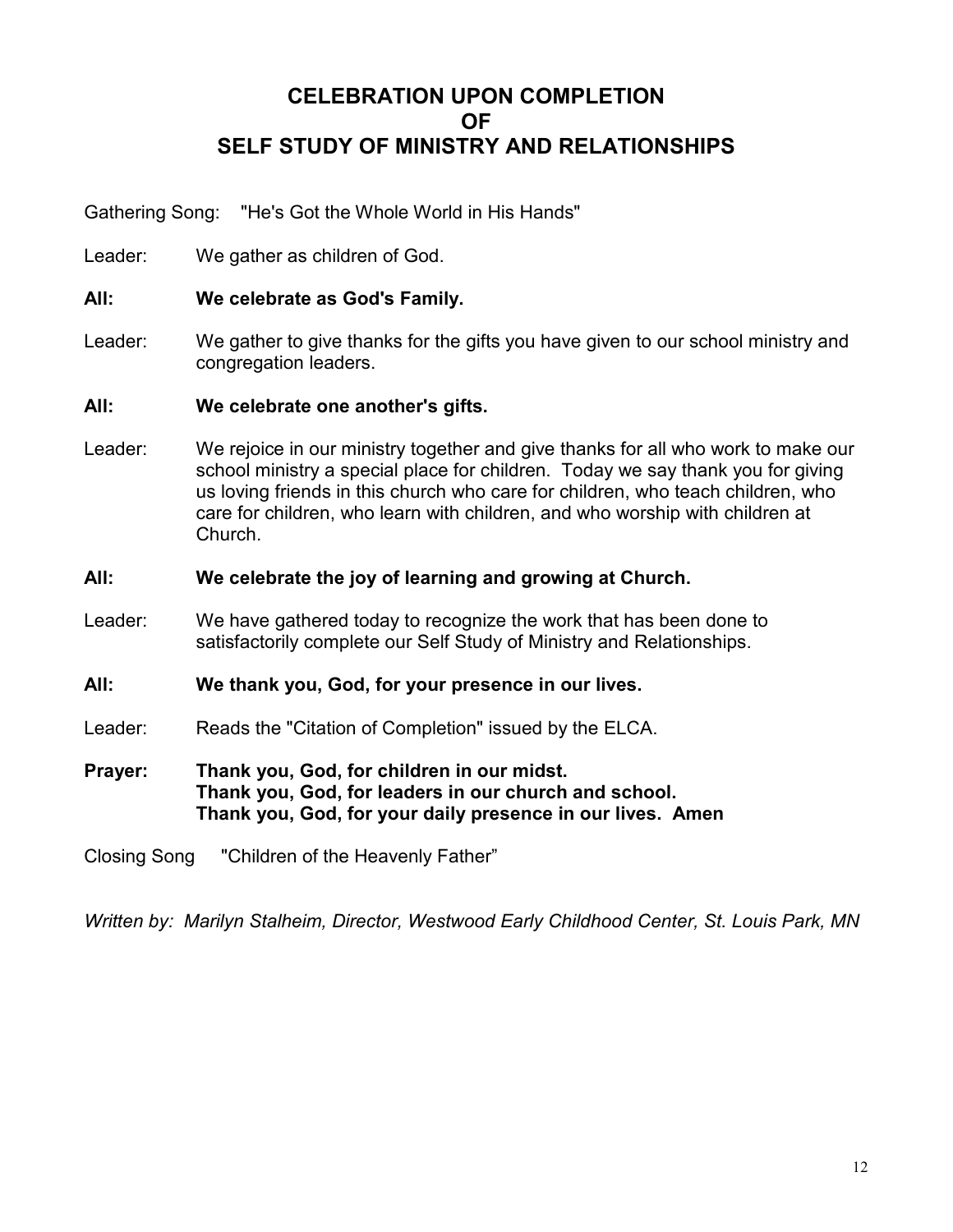### **CELEBRATION UPON COMPLETION OF SELF STUDY OF MINISTRY AND RELATIONSHIPS**

Gathering Song: "He's Got the Whole World in His Hands"

Leader: We gather as children of God.

- **All: We celebrate as God's Family.**
- Leader: We gather to give thanks for the gifts you have given to our school ministry and congregation leaders.

**All: We celebrate one another's gifts.**

- Leader: We rejoice in our ministry together and give thanks for all who work to make our school ministry a special place for children. Today we say thank you for giving us loving friends in this church who care for children, who teach children, who care for children, who learn with children, and who worship with children at Church.
- **All: We celebrate the joy of learning and growing at Church.**
- Leader: We have gathered today to recognize the work that has been done to satisfactorily complete our Self Study of Ministry and Relationships.
- **All: We thank you, God, for your presence in our lives.**
- Leader: Reads the "Citation of Completion" issued by the ELCA.
- **Prayer: Thank you, God, for children in our midst. Thank you, God, for leaders in our church and school. Thank you, God, for your daily presence in our lives. Amen**

Closing Song "Children of the Heavenly Father"

*Written by: Marilyn Stalheim, Director, Westwood Early Childhood Center, St. Louis Park, MN*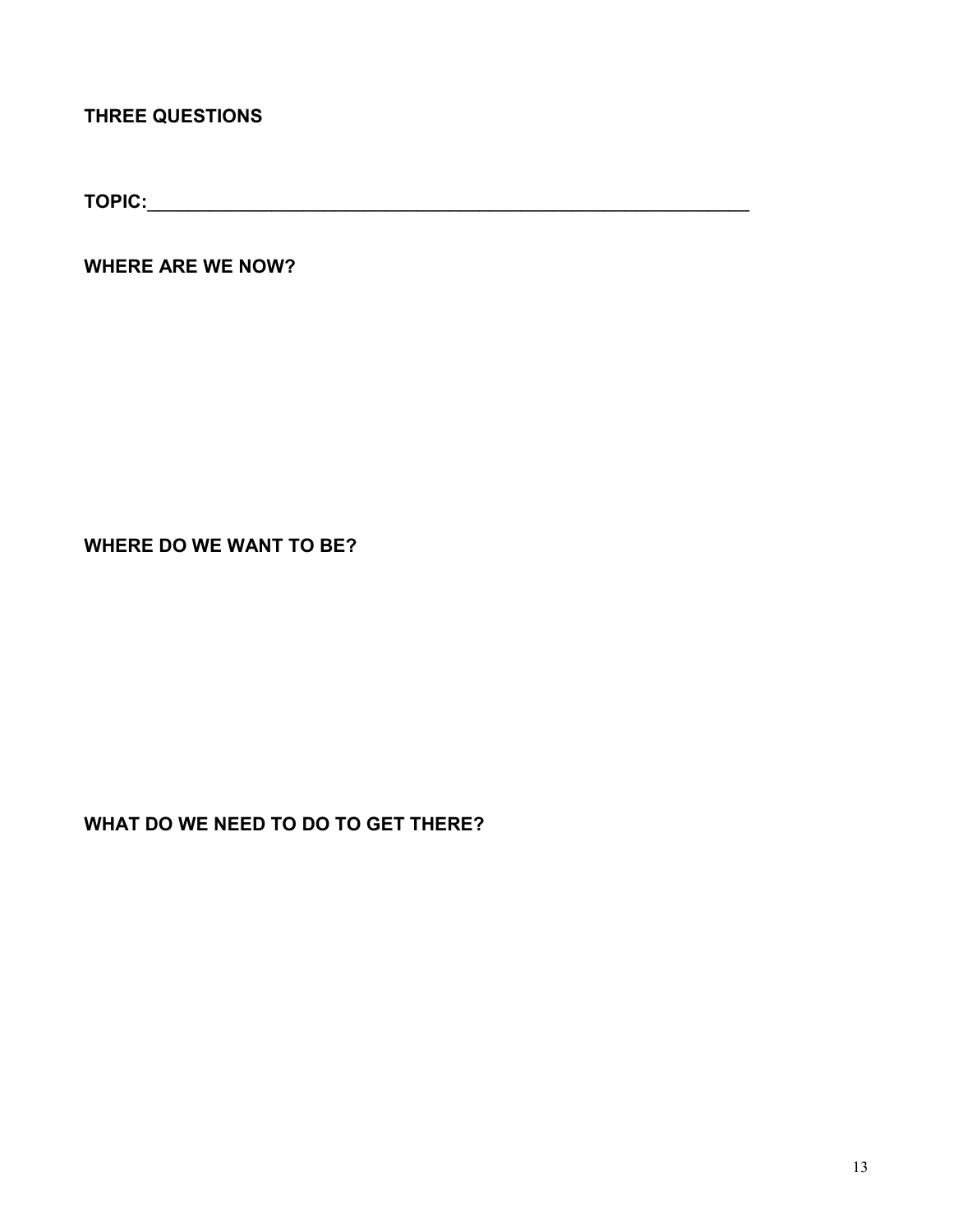### **THREE QUESTIONS**

**TOPIC:**\_\_\_\_\_\_\_\_\_\_\_\_\_\_\_\_\_\_\_\_\_\_\_\_\_\_\_\_\_\_\_\_\_\_\_\_\_\_\_\_\_\_\_\_\_\_\_\_\_\_\_\_\_\_\_\_\_\_

**WHERE ARE WE NOW?** 

**WHERE DO WE WANT TO BE?** 

**WHAT DO WE NEED TO DO TO GET THERE?**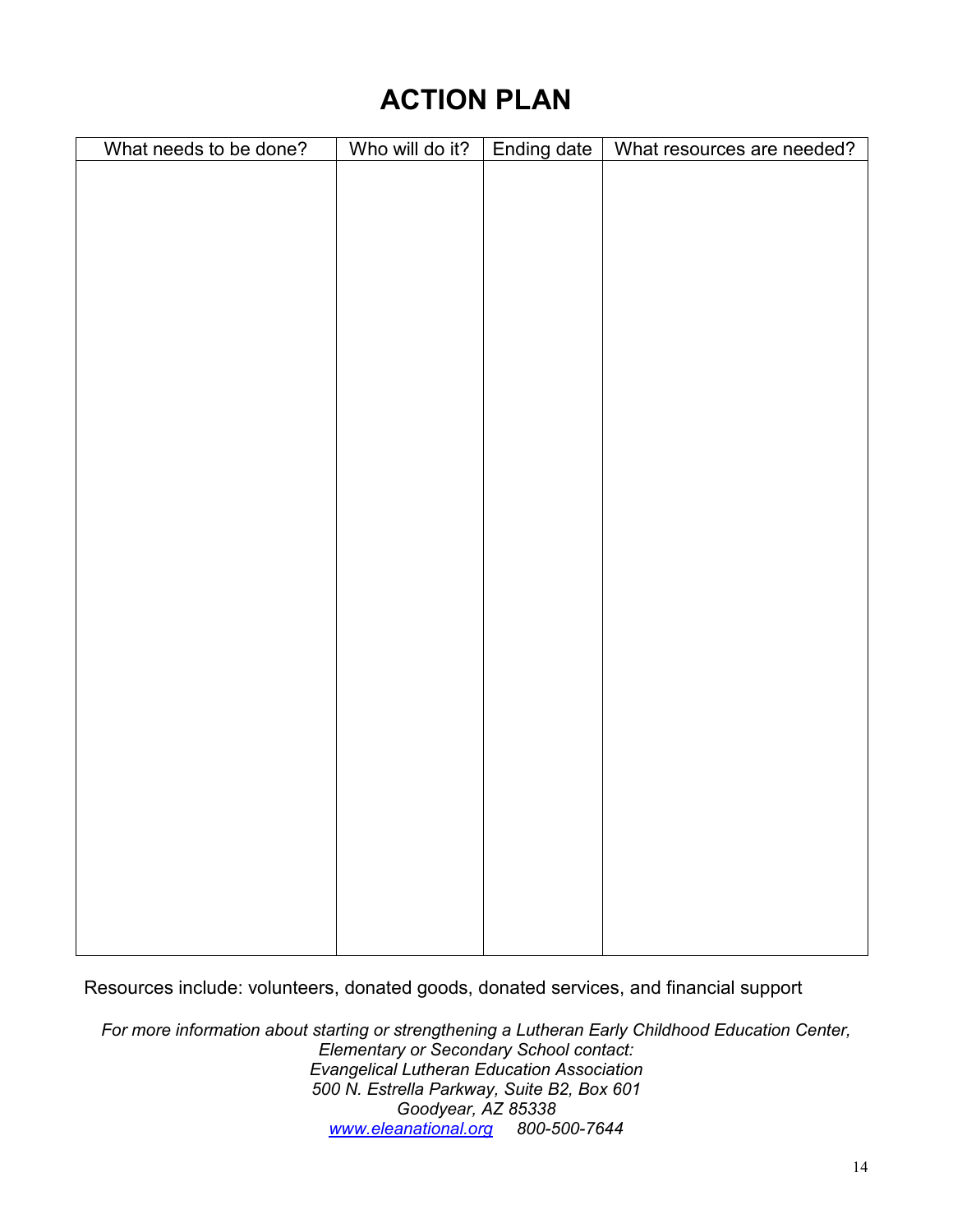# **ACTION PLAN**

| What needs to be done? | Who will do it? | Ending date | What resources are needed? |
|------------------------|-----------------|-------------|----------------------------|
|                        |                 |             |                            |
|                        |                 |             |                            |
|                        |                 |             |                            |
|                        |                 |             |                            |
|                        |                 |             |                            |
|                        |                 |             |                            |
|                        |                 |             |                            |
|                        |                 |             |                            |
|                        |                 |             |                            |
|                        |                 |             |                            |
|                        |                 |             |                            |
|                        |                 |             |                            |
|                        |                 |             |                            |
|                        |                 |             |                            |
|                        |                 |             |                            |
|                        |                 |             |                            |
|                        |                 |             |                            |
|                        |                 |             |                            |
|                        |                 |             |                            |
|                        |                 |             |                            |
|                        |                 |             |                            |
|                        |                 |             |                            |
|                        |                 |             |                            |
|                        |                 |             |                            |
|                        |                 |             |                            |
|                        |                 |             |                            |
|                        |                 |             |                            |
|                        |                 |             |                            |
|                        |                 |             |                            |
|                        |                 |             |                            |

Resources include: volunteers, donated goods, donated services, and financial support

*For more information about starting or strengthening a Lutheran Early Childhood Education Center, Elementary or Secondary School contact: Evangelical Lutheran Education Association 500 N. Estrella Parkway, Suite B2, Box 601 Goodyear, AZ 85338 www.eleanational.org 800-500-7644*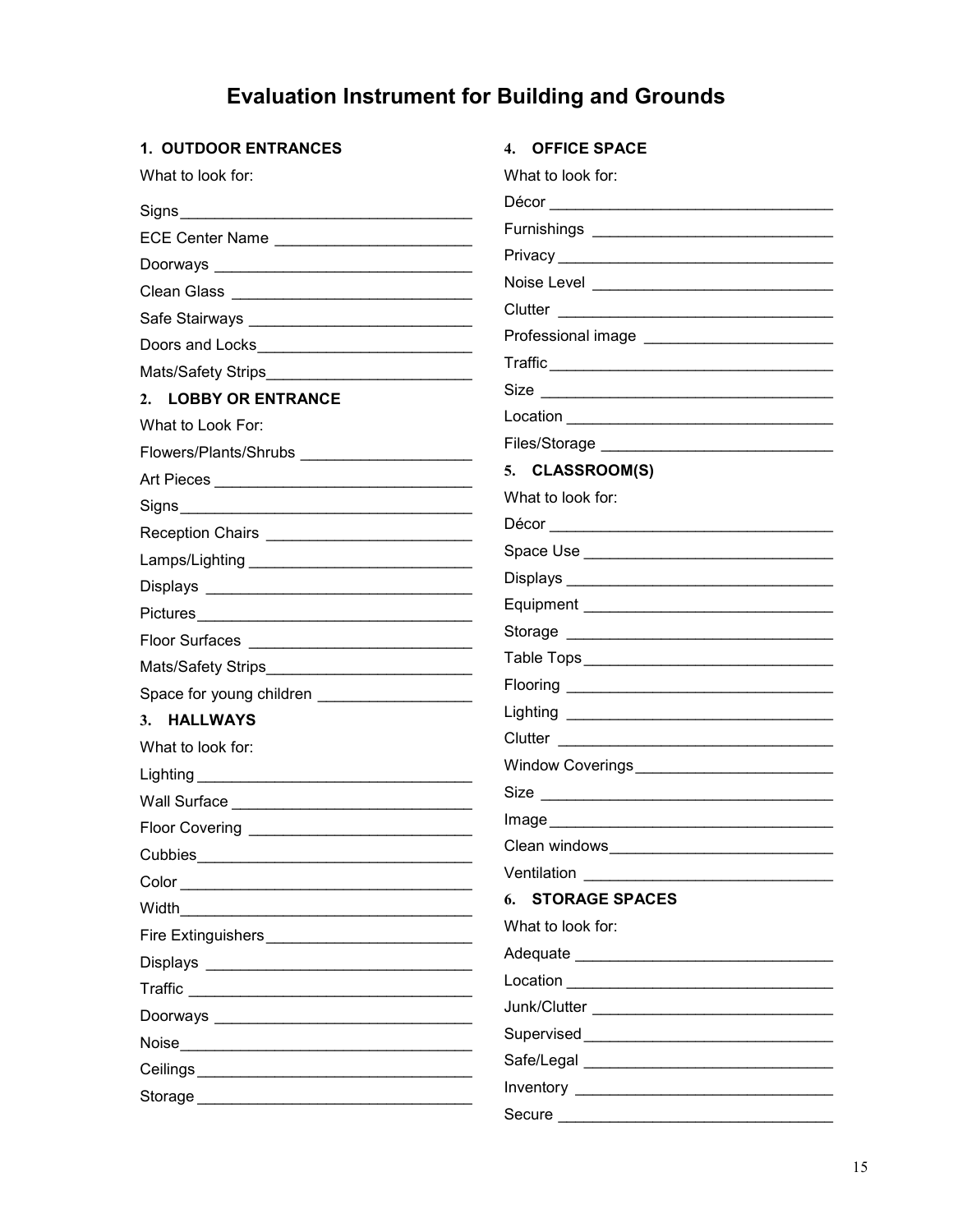# **Evaluation Instrument for Building and Grounds**

| <b>1. OUTDOOR ENTRANCES</b> | 4. OFFICE SPACE                                                                                                                                                                                                                |
|-----------------------------|--------------------------------------------------------------------------------------------------------------------------------------------------------------------------------------------------------------------------------|
| What to look for:           | What to look for:                                                                                                                                                                                                              |
|                             |                                                                                                                                                                                                                                |
| ECE Center Name             |                                                                                                                                                                                                                                |
|                             |                                                                                                                                                                                                                                |
|                             |                                                                                                                                                                                                                                |
|                             |                                                                                                                                                                                                                                |
|                             |                                                                                                                                                                                                                                |
|                             |                                                                                                                                                                                                                                |
| 2. LOBBY OR ENTRANCE        |                                                                                                                                                                                                                                |
| What to Look For:           |                                                                                                                                                                                                                                |
|                             |                                                                                                                                                                                                                                |
|                             | 5. CLASSROOM(S)                                                                                                                                                                                                                |
|                             | What to look for:                                                                                                                                                                                                              |
|                             |                                                                                                                                                                                                                                |
|                             |                                                                                                                                                                                                                                |
|                             |                                                                                                                                                                                                                                |
| Pictures                    |                                                                                                                                                                                                                                |
| Floor Surfaces              |                                                                                                                                                                                                                                |
|                             |                                                                                                                                                                                                                                |
|                             |                                                                                                                                                                                                                                |
| 3. HALLWAYS                 |                                                                                                                                                                                                                                |
| What to look for:           |                                                                                                                                                                                                                                |
|                             |                                                                                                                                                                                                                                |
|                             | Size                                                                                                                                                                                                                           |
| <b>Floor Covering</b>       |                                                                                                                                                                                                                                |
| Cubbies <b>Cubbies</b>      |                                                                                                                                                                                                                                |
|                             | Ventilation Management Control of the Management Control of the Management Control of the Management Control of the Management Control of the Management Control of the Management Control of the Management Control of the Ma |
|                             | <b>6. STORAGE SPACES</b>                                                                                                                                                                                                       |
|                             | What to look for:                                                                                                                                                                                                              |
|                             |                                                                                                                                                                                                                                |
|                             |                                                                                                                                                                                                                                |
|                             |                                                                                                                                                                                                                                |
|                             |                                                                                                                                                                                                                                |
|                             |                                                                                                                                                                                                                                |
|                             |                                                                                                                                                                                                                                |
|                             |                                                                                                                                                                                                                                |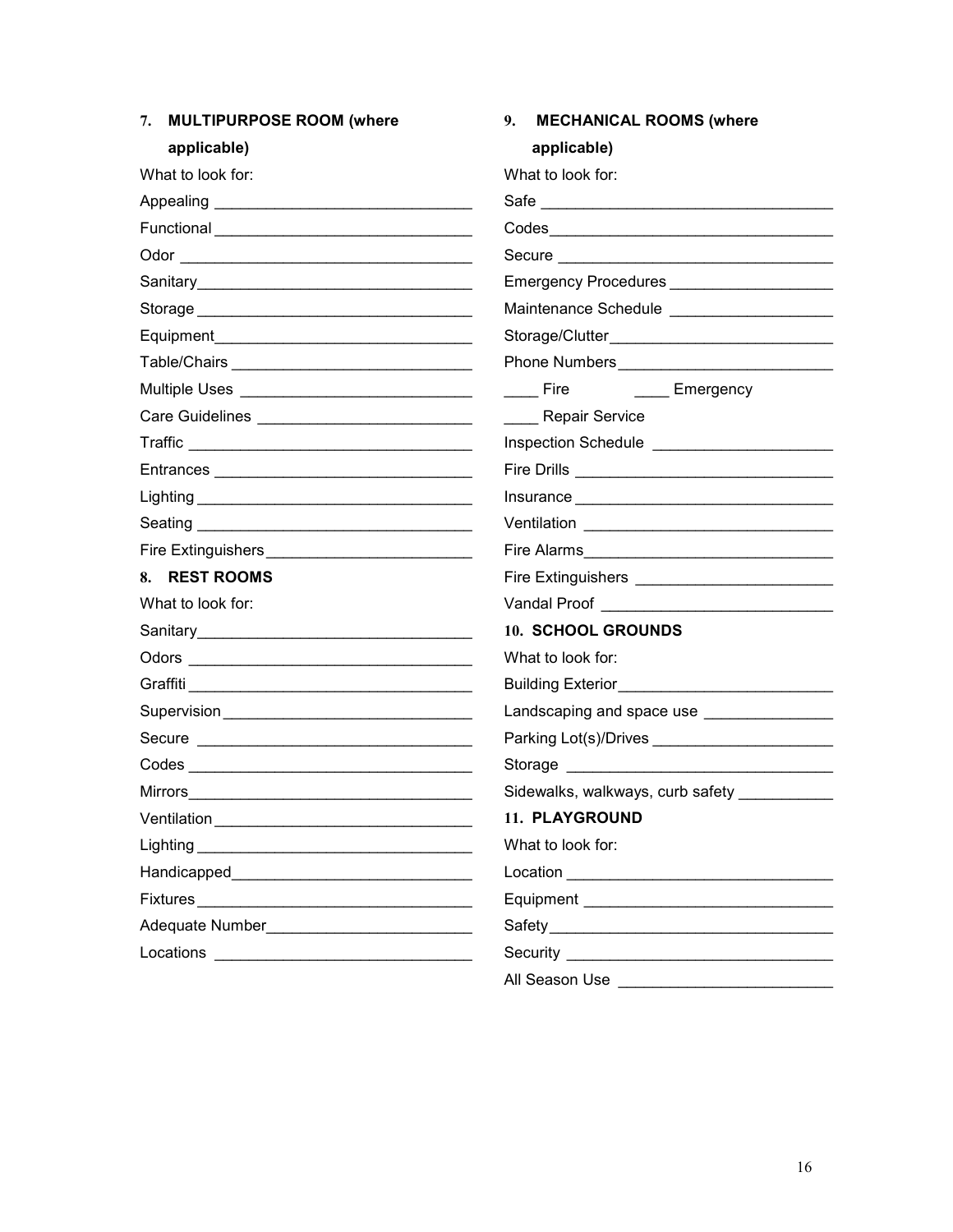| 7. MULTIPURPOSE ROOM (where                             | 9.<br><b>MECHANICAL ROOMS (where</b>            |  |
|---------------------------------------------------------|-------------------------------------------------|--|
| applicable)                                             | applicable)                                     |  |
| What to look for:                                       | What to look for:                               |  |
|                                                         |                                                 |  |
|                                                         |                                                 |  |
|                                                         |                                                 |  |
|                                                         | Emergency Procedures _______________________    |  |
|                                                         |                                                 |  |
|                                                         |                                                 |  |
|                                                         |                                                 |  |
|                                                         | _____ Fire ____ _ ____ Emergency                |  |
|                                                         | Repair Service                                  |  |
|                                                         |                                                 |  |
|                                                         |                                                 |  |
|                                                         |                                                 |  |
|                                                         |                                                 |  |
| Fire Extinguishers <b>Firm Advisor Contains Advisor</b> |                                                 |  |
| 8. REST ROOMS                                           | Fire Extinguishers ____________________________ |  |
| What to look for:                                       |                                                 |  |
|                                                         | 10. SCHOOL GROUNDS                              |  |
|                                                         | What to look for:                               |  |
|                                                         |                                                 |  |
|                                                         | Landscaping and space use __________________    |  |
|                                                         |                                                 |  |
|                                                         |                                                 |  |
|                                                         | Sidewalks, walkways, curb safety __________     |  |
|                                                         | 11. PLAYGROUND                                  |  |
|                                                         | What to look for:                               |  |
|                                                         |                                                 |  |
| Fixtures                                                |                                                 |  |
|                                                         |                                                 |  |
|                                                         |                                                 |  |
|                                                         | All Season Use ______________________________   |  |